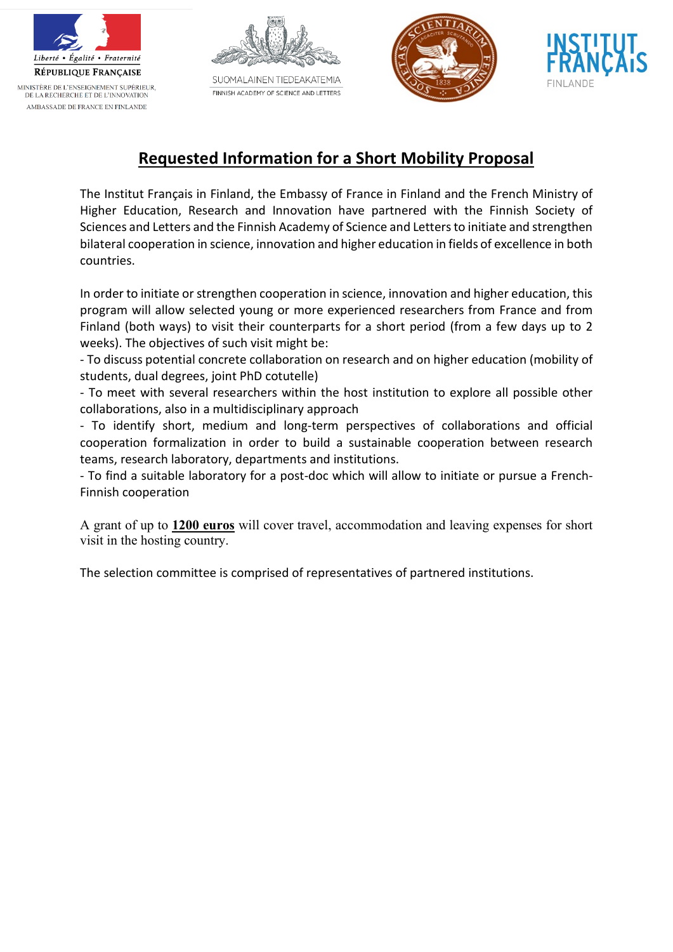



SUOMALAINEN TIEDEAKATEMIA FINNISH ACADEMY OF SCIENCE AND LETTERS





## **Requested Information for a Short Mobility Proposal**

The Institut Français in Finland, the Embassy of France in Finland and the French Ministry of Higher Education, Research and Innovation have partnered with the Finnish Society of Sciences and Letters and the Finnish Academy of Science and Lettersto initiate and strengthen bilateral cooperation in science, innovation and higher education in fields of excellence in both countries.

In order to initiate or strengthen cooperation in science, innovation and higher education, this program will allow selected young or more experienced researchers from France and from Finland (both ways) to visit their counterparts for a short period (from a few days up to 2 weeks). The objectives of such visit might be:

- To discuss potential concrete collaboration on research and on higher education (mobility of students, dual degrees, joint PhD cotutelle)

- To meet with several researchers within the host institution to explore all possible other collaborations, also in a multidisciplinary approach

- To identify short, medium and long-term perspectives of collaborations and official cooperation formalization in order to build a sustainable cooperation between research teams, research laboratory, departments and institutions.

- To find a suitable laboratory for a post-doc which will allow to initiate or pursue a French-Finnish cooperation

A grant of up to **1200 euros** will cover travel, accommodation and leaving expenses for short visit in the hosting country.

The selection committee is comprised of representatives of partnered institutions.